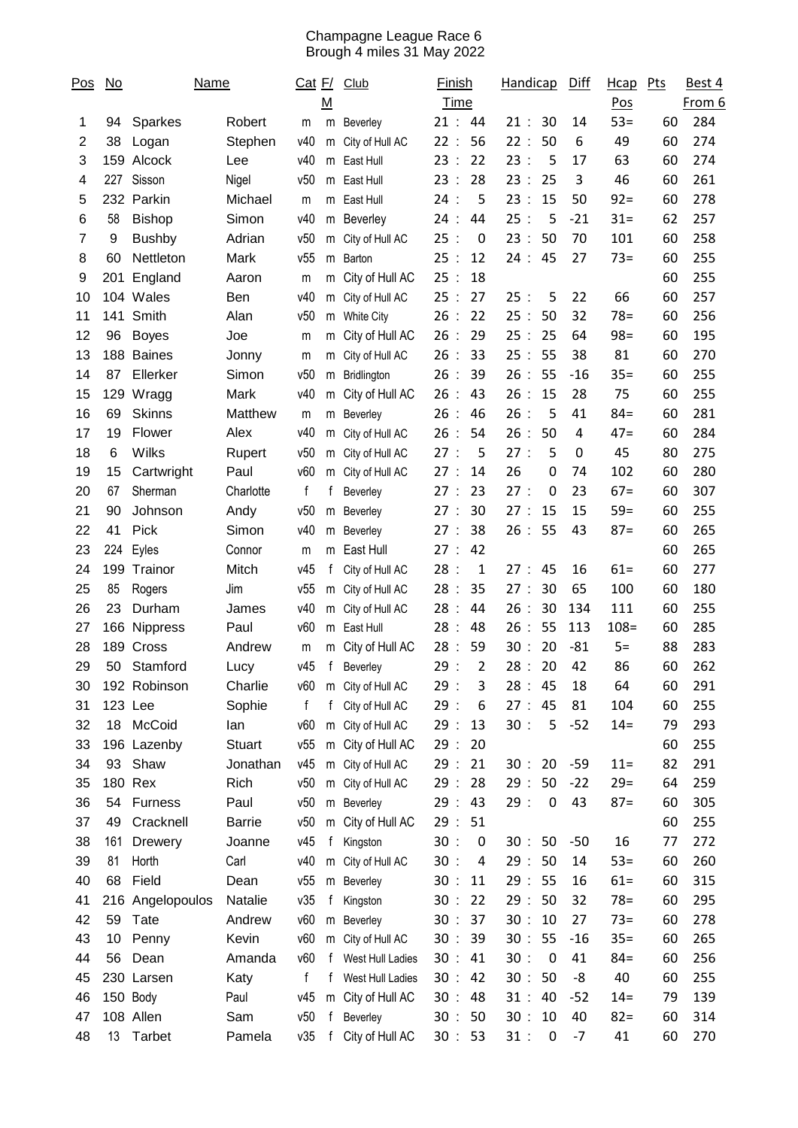## Champagne League Race 6 Brough 4 miles 31 May 2022

| $\underline{\mathsf{Pos}}$ | $\underline{\mathsf{No}}$ | <b>Name</b>      |               | <u>Cat F/</u><br>$\underline{\mathsf{M}}$ |           | Club              | <u>Finish</u><br>Time      |                  | Handicap |                  | Diff  | Hcap<br>Pos | Pts | Best 4<br>From 6 |
|----------------------------|---------------------------|------------------|---------------|-------------------------------------------|-----------|-------------------|----------------------------|------------------|----------|------------------|-------|-------------|-----|------------------|
| 1                          | 94                        | <b>Sparkes</b>   | Robert        | m                                         | m         | Beverley          | 21:                        | 44               | 21:      | 30               | 14    | $53=$       | 60  | 284              |
| 2                          | 38                        | Logan            | Stephen       | v40                                       | m         | City of Hull AC   | 22:                        | 56               | 22:      | 50               | 6     | 49          | 60  | 274              |
| 3                          |                           | 159 Alcock       | Lee           | v40                                       | m         | East Hull         | 23:                        | 22               | 23:      | 5                | 17    | 63          | 60  | 274              |
| 4                          | 227                       | Sisson           | Nigel         | v50                                       | m         | East Hull         | 23:                        | 28               | 23:      | 25               | 3     | 46          | 60  | 261              |
| 5                          |                           | 232 Parkin       | Michael       | m                                         | m         | East Hull         | 24:                        | 5                | 23:      | 15               | 50    | $92 =$      | 60  | 278              |
| 6                          | 58                        | <b>Bishop</b>    | Simon         | v40                                       | m         | Beverley          | 24:                        | 44               | 25:      | 5                | $-21$ | $31 =$      | 62  | 257              |
| $\overline{7}$             | 9                         | <b>Bushby</b>    | Adrian        | v50                                       | m         | City of Hull AC   | 25:                        | $\boldsymbol{0}$ | 23<br>÷  | 50               | 70    | 101         | 60  | 258              |
| 8                          | 60                        | Nettleton        | Mark          | v55                                       | m         | Barton            | 25:                        | 12               | 24:      | 45               | 27    | $73=$       | 60  | 255              |
| 9                          | 201                       | England          | Aaron         | m                                         | m         | City of Hull AC   | 25:                        | 18               |          |                  |       |             | 60  | 255              |
| 10                         |                           | 104 Wales        | Ben           | v40                                       | m         | City of Hull AC   | 25:                        | 27               | 25:      | 5                | 22    | 66          | 60  | 257              |
| 11                         | 141                       | Smith            | Alan          | v50                                       | m         | White City        | 26:                        | 22               | 25:      | 50               | 32    | $78=$       | 60  | 256              |
| 12                         | 96                        | <b>Boyes</b>     | Joe           | m                                         | m         | City of Hull AC   | 26:                        | 29               | 25<br>÷  | 25               | 64    | $98 =$      | 60  | 195              |
| 13                         | 188                       | <b>Baines</b>    | Jonny         | m                                         | m         | City of Hull AC   | 26:                        | 33               | 25       | 55               | 38    | 81          | 60  | 270              |
| 14                         | 87                        | Ellerker         | Simon         | v50                                       | m         | Bridlington       | 26:                        | 39               | 26<br>÷  | 55               | $-16$ | $35 =$      | 60  | 255              |
| 15                         | 129                       | Wragg            | Mark          | v40                                       | m         | City of Hull AC   | 26:                        | 43               | 26<br>÷  | 15               | 28    | 75          | 60  | 255              |
| 16                         | 69                        | <b>Skinns</b>    | Matthew       | m                                         | m         | Beverley          | 26:                        | 46               | 26:      | 5                | 41    | $84 =$      | 60  | 281              |
| 17                         | 19                        | Flower           | Alex          | v40                                       | m         | City of Hull AC   | 26:                        | 54               | 26<br>÷  | 50               | 4     | $47=$       | 60  | 284              |
| 18                         | 6                         | Wilks            | Rupert        | v50                                       | m         | City of Hull AC   | 27:                        | 5                | 27:      | 5                | 0     | 45          | 80  | 275              |
| 19                         | 15                        | Cartwright       | Paul          | v60                                       | m         | City of Hull AC   | 27:                        | 14               | 26       | 0                | 74    | 102         | 60  | 280              |
| 20                         | 67                        | Sherman          | Charlotte     | f                                         | f         | Beverley          | 27:                        | 23               | 27:      | 0                | 23    | $67 =$      | 60  | 307              |
| 21                         | 90                        | Johnson          | Andy          | v50                                       | m         | Beverley          | 27:                        | 30               | 27:      | 15               | 15    | $59=$       | 60  | 255              |
| 22                         | 41                        | <b>Pick</b>      | Simon         | v40                                       | m         | Beverley          | 27:                        | 38               | 26:      | 55               | 43    | $87 =$      | 60  | 265              |
| 23                         | 224                       | Eyles            | Connor        | m                                         | m         | East Hull         | 27:                        | 42               |          |                  |       |             | 60  | 265              |
| 24                         | 199                       | Trainor          | Mitch         | v45                                       | f         | City of Hull AC   | 28:                        | 1                | 27:      | 45               | 16    | $61 =$      | 60  | 277              |
| 25                         | 85                        | Rogers           | Jim           | v55                                       | m         | City of Hull AC   | 28:                        | 35               | 27       | 30               | 65    | 100         | 60  | 180              |
| 26                         | 23                        | Durham           | James         | v40                                       | m         | City of Hull AC   | 28<br>$\cdot$ :            | 44               | 26<br>÷  | 30               | 134   | 111         | 60  | 255              |
| 27                         |                           | 166 Nippress     | Paul          | v60                                       | m         | East Hull         | 28<br>$\ddot{\phantom{a}}$ | 48               | 26<br>÷  | 55               | 113   | $108 =$     | 60  | 285              |
| 28                         | 189                       | Cross            | Andrew        | m                                         | m         | City of Hull AC   | 28<br>÷                    | 59               | 30<br>÷  | 20               | $-81$ | $5=$        | 88  | 283              |
| 29                         | 50                        | Stamford         | Lucy          | v45                                       | f         | Beverley          | 29                         | 2                | 28       | 20               | 42    | 86          | 60  | 262              |
| 30                         |                           | 192 Robinson     | Charlie       | v60                                       |           | m City of Hull AC | 29:                        | 3                | 28:45    |                  | 18    | 64          | 60  | 291              |
| 31                         |                           | 123 Lee          | Sophie        | f                                         | f         | City of Hull AC   | 29:                        | 6                | 27:      | 45               | 81    | 104         | 60  | 255              |
| 32                         |                           | 18 McCoid        | lan           | v60                                       | ${\sf m}$ | City of Hull AC   | 29:                        | 13               | 30:      | 5                | $-52$ | $14 =$      | 79  | 293              |
| 33                         |                           | 196 Lazenby      | <b>Stuart</b> | v55                                       |           | m City of Hull AC | 29:                        | 20               |          |                  |       |             | 60  | 255              |
| 34                         |                           | 93 Shaw          | Jonathan      | v45                                       | m         | City of Hull AC   | 29:                        | 21               | 30:      | 20               | $-59$ | $11 =$      | 82  | 291              |
| 35                         |                           | 180 Rex          | Rich          | v50                                       |           | m City of Hull AC | 29:                        | 28               | 29:      | 50               | $-22$ | $29=$       | 64  | 259              |
| 36                         |                           | 54 Furness       | Paul          | v50                                       | ${\sf m}$ | Beverley          | 29:                        | 43               | 29:      | $\boldsymbol{0}$ | 43    | $87 =$      | 60  | 305              |
| 37                         | 49                        | Cracknell        | <b>Barrie</b> | v50                                       | ${\sf m}$ | City of Hull AC   | 29:                        | 51               |          |                  |       |             | 60  | 255              |
| 38                         | 161                       | Drewery          | Joanne        | v45                                       | f         | Kingston          | 30:                        | $\boldsymbol{0}$ | 30:      | 50               | $-50$ | 16          | 77  | 272              |
| 39                         | 81                        | Horth            | Carl          | v40                                       | m         | City of Hull AC   | 30:                        | 4                | 29:      | 50               | 14    | $53=$       | 60  | 260              |
| 40                         | 68                        | Field            | Dean          | v55                                       | m         | Beverley          | 30:                        | 11               | 29:      | 55               | 16    | $61 =$      | 60  | 315              |
| 41                         |                           | 216 Angelopoulos | Natalie       | v35                                       | f         | Kingston          | 30:                        | 22               | 29:      | 50               | 32    | $78 =$      | 60  | 295              |
| 42                         | 59                        | Tate             | Andrew        | v60                                       | m         | Beverley          | 30:                        | 37               | 30:      | 10               | 27    | $73=$       | 60  | 278              |
| 43                         | 10                        | Penny            | Kevin         | v60                                       | ${\sf m}$ | City of Hull AC   | 30:                        | 39               | 30:      | 55               | $-16$ | $35 =$      | 60  | 265              |
| 44                         | 56                        | Dean             | Amanda        | v60                                       | f         | West Hull Ladies  | 30:                        | 41               | 30:      | $\boldsymbol{0}$ | 41    | $84 =$      | 60  | 256              |
| 45                         |                           | 230 Larsen       | Katy          | $\mathsf f$                               | f         | West Hull Ladies  | 30:                        | 42               | 30:      | 50               | -8    | 40          | 60  | 255              |
| 46                         |                           | 150 Body         | Paul          | v45                                       | m         | City of Hull AC   | 30:                        | 48               | 31:      | 40               | $-52$ | $14 =$      | 79  | 139              |
| 47                         |                           | 108 Allen        | Sam           | v50                                       | f         | Beverley          | 30:                        | 50               | 30:      | 10               | 40    | $82 =$      | 60  | 314              |
| 48                         | 13                        | Tarbet           | Pamela        | v35                                       | f         | City of Hull AC   | 30 : 53                    |                  | 31:      | $\boldsymbol{0}$ | $-7$  | 41          | 60  | 270              |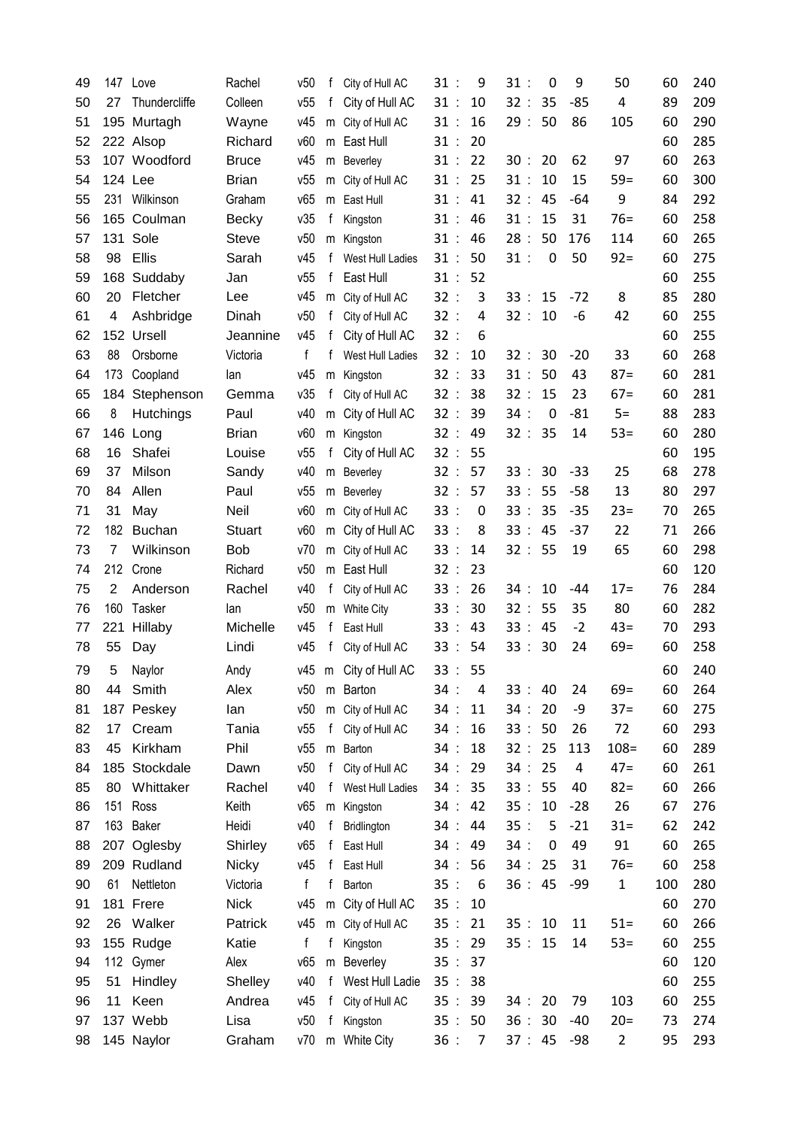| 49 |     | 147 Love      | Rachel        | v50          | f            | City of Hull AC    | 31:                        | 9              | 31:     | 0  | 9     | 50             | 60  | 240 |
|----|-----|---------------|---------------|--------------|--------------|--------------------|----------------------------|----------------|---------|----|-------|----------------|-----|-----|
| 50 | 27  | Thundercliffe | Colleen       | v55          | f            | City of Hull AC    | 31:                        | 10             | 32:     | 35 | $-85$ | 4              | 89  | 209 |
| 51 |     | 195 Murtagh   | Wayne         | v45          |              | m City of Hull AC  | 31:                        | 16             | 29:     | 50 | 86    | 105            | 60  | 290 |
| 52 |     | 222 Alsop     | Richard       | v60          |              | m East Hull        | 31:                        | 20             |         |    |       |                | 60  | 285 |
| 53 |     | 107 Woodford  | <b>Bruce</b>  | v45          |              | m Beverley         | 31:                        | 22             | 30:     | 20 | 62    | 97             | 60  | 263 |
| 54 |     | 124 Lee       | <b>Brian</b>  | v55          |              | m City of Hull AC  | 31:                        | 25             | 31:     | 10 | 15    | $59=$          | 60  | 300 |
| 55 |     | 231 Wilkinson | Graham        | v65          | m            | East Hull          | 31:                        | 41             | 32:     | 45 | -64   | 9              | 84  | 292 |
| 56 |     | 165 Coulman   | <b>Becky</b>  | v35          | f            | Kingston           | 31:                        | 46             | 31:     | 15 | 31    | $76=$          | 60  | 258 |
| 57 |     | 131 Sole      | <b>Steve</b>  | v50          | m            | Kingston           | 31:                        | 46             | 28:     | 50 | 176   | 114            | 60  | 265 |
| 58 | 98  | <b>Ellis</b>  | Sarah         | v45          | f            | West Hull Ladies   | 31:                        | 50             | 31:     | 0  | 50    | $92 =$         | 60  | 275 |
| 59 | 168 | Suddaby       | Jan           | v55          | f            | East Hull          | 31:                        | 52             |         |    |       |                | 60  | 255 |
| 60 | 20  | Fletcher      | Lee           | v45          |              | m City of Hull AC  | 32:                        | 3              | 33:     | 15 | $-72$ | 8              | 85  | 280 |
| 61 | 4   | Ashbridge     | Dinah         | v50          | f            | City of Hull AC    | 32:                        | 4              | 32:     | 10 | -6    | 42             | 60  | 255 |
| 62 |     | 152 Ursell    | Jeannine      | v45          | f            | City of Hull AC    | 32:                        | 6              |         |    |       |                | 60  | 255 |
| 63 | 88  | Orsborne      | Victoria      | f            | f            | West Hull Ladies   | 32:                        | 10             | 32:     | 30 | $-20$ | 33             | 60  | 268 |
| 64 | 173 | Coopland      | lan           | v45          | m            | Kingston           | 32:                        | 33             | 31:     | 50 | 43    | $87 =$         | 60  | 281 |
| 65 | 184 | Stephenson    | Gemma         | v35          | f            | City of Hull AC    | 32:                        | 38             | 32:     | 15 | 23    | $67=$          | 60  | 281 |
| 66 | 8   | Hutchings     | Paul          | v40          | m            | City of Hull AC    | 32<br>$\ddot{\phantom{a}}$ | 39             | 34:     | 0  | $-81$ | $5=$           | 88  | 283 |
| 67 | 146 | Long          | <b>Brian</b>  | v60          |              | m Kingston         | 32:                        | 49             | 32:     | 35 | 14    | $53 =$         | 60  | 280 |
| 68 | 16  | Shafei        | Louise        | v55          | f            | City of Hull AC    | 32:                        | 55             |         |    |       |                | 60  | 195 |
| 69 | 37  | Milson        | Sandy         | v40          |              | m Beverley         | 32:                        | 57             | 33:     | 30 | $-33$ | 25             | 68  | 278 |
| 70 | 84  | Allen         | Paul          | v55          |              | m Beverley         | 32:                        | 57             | 33:     | 55 | $-58$ | 13             | 80  | 297 |
| 71 | 31  | May           | Neil          | v60          |              | m City of Hull AC  | 33:                        | $\mathbf 0$    | 33:     | 35 | $-35$ | $23=$          | 70  | 265 |
| 72 | 182 | <b>Buchan</b> | <b>Stuart</b> | v60          |              | m City of Hull AC  | 33:                        | 8              | 33:     | 45 | $-37$ | 22             | 71  | 266 |
| 73 | 7   | Wilkinson     | <b>Bob</b>    | v70          | m            | City of Hull AC    | 33:                        | 14             | 32:     | 55 | 19    | 65             | 60  | 298 |
| 74 | 212 | Crone         | Richard       | v50          | m            | East Hull          | 32:                        | 23             |         |    |       |                | 60  | 120 |
| 75 | 2   | Anderson      | Rachel        | v40          | f            | City of Hull AC    | 33:                        | 26             | 34:     | 10 | -44   | $17 =$         | 76  | 284 |
| 76 | 160 | Tasker        | lan           | v50          | m            | <b>White City</b>  | 33:                        | 30             | 32:     | 55 | 35    | 80             | 60  | 282 |
| 77 | 221 | Hillaby       | Michelle      | v45          | f            | East Hull          | 33:                        | 43             | 33:     | 45 | $-2$  | $43=$          | 70  | 293 |
| 78 | 55  | Day           | Lindi         | v45          | f            | City of Hull AC    | 33:                        | 54             | 33:     | 30 | 24    | $69=$          | 60  | 258 |
| 79 | 5   | Naylor        | Andy          | v45          | m            | City of Hull AC    | 33<br>$\ddot{\phantom{a}}$ | 55             |         |    |       |                | 60  | 240 |
| 80 | 44  | Smith         | Alex          | v50          |              | m Barton           | 34:                        | 4              | 33:     | 40 | 24    | $69=$          | 60  | 264 |
| 81 | 187 | Peskey        | lan           | v50          |              | m City of Hull AC  | 34:                        | 11             | 34:     | 20 | -9    | $37 =$         | 60  | 275 |
| 82 | 17  | Cream         | Tania         | v55          | f            | City of Hull AC    | 34:                        | 16             | 33:     | 50 | 26    | 72             | 60  | 293 |
| 83 | 45  | Kirkham       | Phil          | v55          |              | m Barton           | 34 :                       | 18             | 32:     | 25 | 113   | $108 =$        | 60  | 289 |
| 84 |     | 185 Stockdale | Dawn          | v50          |              | f City of Hull AC  | 34:                        | 29             | 34:     | 25 | 4     | $47 =$         | 60  | 261 |
| 85 |     | 80 Whittaker  | Rachel        | v40          |              | f West Hull Ladies | 34:                        | 35             | 33:     | 55 | 40    | $82 =$         | 60  | 266 |
| 86 |     | 151 Ross      | Keith         | v65          |              | m Kingston         | 34 :                       | 42             | 35:     | 10 | $-28$ | 26             | 67  | 276 |
| 87 |     | 163 Baker     | Heidi         | v40          | f            | Bridlington        | 34 :                       | 44             | 35:     | 5  | $-21$ | $31 =$         | 62  | 242 |
| 88 |     | 207 Oglesby   | Shirley       | v65          | $\mathbf{f}$ | East Hull          | 34 :                       | 49             | 34:     | 0  | 49    | 91             | 60  | 265 |
| 89 |     | 209 Rudland   | <b>Nicky</b>  | v45          | f            | East Hull          | 34 :                       | 56             | 34:     | 25 | 31    | $76=$          | 60  | 258 |
| 90 | 61  | Nettleton     | Victoria      | $\mathsf{f}$ | f            | Barton             | 35:                        | 6              | 36:45   |    | -99   | $\mathbf{1}$   | 100 | 280 |
| 91 |     | 181 Frere     | <b>Nick</b>   | v45          |              | m City of Hull AC  | 35:                        | 10             |         |    |       |                | 60  | 270 |
| 92 | 26  | Walker        | Patrick       | v45          |              | m City of Hull AC  | 35:                        | 21             | 35:     | 10 | 11    | $51 =$         | 60  | 266 |
| 93 |     | 155 Rudge     | Katie         | f            | f            | Kingston           | 35 : 29                    |                | 35 : 15 |    | 14    | $53=$          | 60  | 255 |
| 94 |     | 112 Gymer     | Alex          | v65          |              | m Beverley         | 35 : 37                    |                |         |    |       |                | 60  | 120 |
| 95 | 51  | Hindley       | Shelley       | v40          |              | f West Hull Ladie  | 35:                        | 38             |         |    |       |                | 60  | 255 |
| 96 | 11  | Keen          | Andrea        | v45          | f            | City of Hull AC    | 35:                        | 39             | 34:     | 20 | 79    | 103            | 60  | 255 |
| 97 |     | 137 Webb      | Lisa          | v50          | f            | Kingston           | 35:                        | 50             | 36:     | 30 | $-40$ | $20=$          | 73  | 274 |
| 98 |     | 145 Naylor    | Graham        | v70          |              | m White City       | 36:                        | $\overline{7}$ | 37 : 45 |    | -98   | $\overline{2}$ | 95  | 293 |